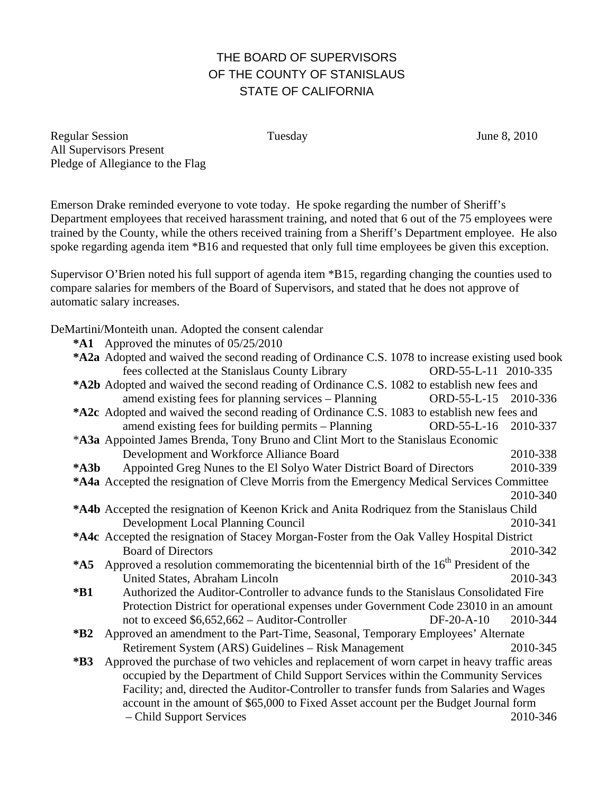## THE BOARD OF SUPERVISORS OF THE COUNTY OF STANISLAUS STATE OF CALIFORNIA

Regular Session Tuesday June 8, 2010 All Supervisors Present Pledge of Allegiance to the Flag

Emerson Drake reminded everyone to vote today. He spoke regarding the number of Sheriff's Department employees that received harassment training, and noted that 6 out of the 75 employees were trained by the County, while the others received training from a Sheriff's Department employee. He also spoke regarding agenda item \*B16 and requested that only full time employees be given this exception.

Supervisor O'Brien noted his full support of agenda item \*B15, regarding changing the counties used to compare salaries for members of the Board of Supervisors, and stated that he does not approve of automatic salary increases.

DeMartini/Monteith unan. Adopted the consent calendar **\*A1** Approved the minutes of 05/25/2010 **\*A2a** Adopted and waived the second reading of Ordinance C.S. 1078 to increase existing used book fees collected at the Stanislaus County Library ORD-55-L-11 2010-335 **\*A2b** Adopted and waived the second reading of Ordinance C.S. 1082 to establish new fees and amend existing fees for planning services – Planning ORD-55-L-15 2010-336 **\*A2c** Adopted and waived the second reading of Ordinance C.S. 1083 to establish new fees and amend existing fees for building permits – Planning ORD-55-L-16 2010-337 \***A3a** Appointed James Brenda, Tony Bruno and Clint Mort to the Stanislaus Economic Development and Workforce Alliance Board 2010-338 **\*A3b** Appointed Greg Nunes to the El Solyo Water District Board of Directors 2010-339 **\*A4a** Accepted the resignation of Cleve Morris from the Emergency Medical Services Committee 2010-340 **\*A4b** Accepted the resignation of Keenon Krick and Anita Rodriquez from the Stanislaus Child Development Local Planning Council 2010-341 **\*A4c** Accepted the resignation of Stacey Morgan-Foster from the Oak Valley Hospital District Board of Directors 2010-342 \*A5 Approved a resolution commemorating the bicentennial birth of the 16<sup>th</sup> President of the United States, Abraham Lincoln 2010-343 **\*B1** Authorized the Auditor-Controller to advance funds to the Stanislaus Consolidated Fire Protection District for operational expenses under Government Code 23010 in an amount not to exceed \$6,652,662 – Auditor-Controller DF-20-A-10 2010-344 **\*B2** Approved an amendment to the Part-Time, Seasonal, Temporary Employees' Alternate Retirement System (ARS) Guidelines – Risk Management 2010-345 **\*B3** Approved the purchase of two vehicles and replacement of worn carpet in heavy traffic areas occupied by the Department of Child Support Services within the Community Services Facility; and, directed the Auditor-Controller to transfer funds from Salaries and Wages account in the amount of \$65,000 to Fixed Asset account per the Budget Journal form – Child Support Services 2010-346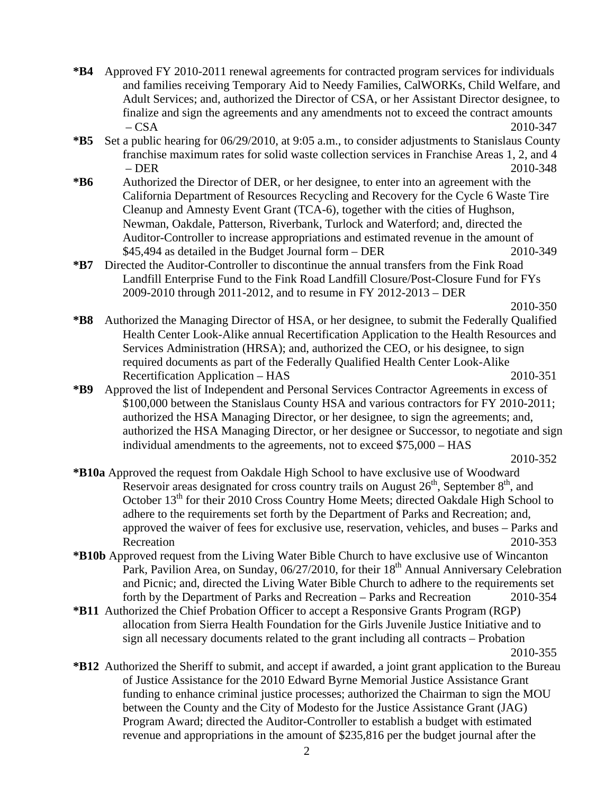- **\*B4** Approved FY 2010-2011 renewal agreements for contracted program services for individuals and families receiving Temporary Aid to Needy Families, CalWORKs, Child Welfare, and Adult Services; and, authorized the Director of CSA, or her Assistant Director designee, to finalize and sign the agreements and any amendments not to exceed the contract amounts – CSA 2010-347
- **\*B5** Set a public hearing for 06/29/2010, at 9:05 a.m., to consider adjustments to Stanislaus County franchise maximum rates for solid waste collection services in Franchise Areas 1, 2, and 4 – DER 2010-348
- **\*B6** Authorized the Director of DER, or her designee, to enter into an agreement with the California Department of Resources Recycling and Recovery for the Cycle 6 Waste Tire Cleanup and Amnesty Event Grant (TCA-6), together with the cities of Hughson, Newman, Oakdale, Patterson, Riverbank, Turlock and Waterford; and, directed the Auditor-Controller to increase appropriations and estimated revenue in the amount of \$45,494 as detailed in the Budget Journal form – DER 2010-349
- **\*B7** Directed the Auditor-Controller to discontinue the annual transfers from the Fink Road Landfill Enterprise Fund to the Fink Road Landfill Closure/Post-Closure Fund for FYs 2009-2010 through 2011-2012, and to resume in FY 2012-2013 – DER

- **\*B8** Authorized the Managing Director of HSA, or her designee, to submit the Federally Qualified Health Center Look-Alike annual Recertification Application to the Health Resources and Services Administration (HRSA); and, authorized the CEO, or his designee, to sign required documents as part of the Federally Qualified Health Center Look-Alike Recertification Application – HAS 2010-351
- **\*B9** Approved the list of Independent and Personal Services Contractor Agreements in excess of \$100,000 between the Stanislaus County HSA and various contractors for FY 2010-2011; authorized the HSA Managing Director, or her designee, to sign the agreements; and, authorized the HSA Managing Director, or her designee or Successor, to negotiate and sign individual amendments to the agreements, not to exceed \$75,000 – HAS

2010-352

- **\*B10a** Approved the request from Oakdale High School to have exclusive use of Woodward Reservoir areas designated for cross country trails on August  $26<sup>th</sup>$ , September  $8<sup>th</sup>$ , and October 13<sup>th</sup> for their 2010 Cross Country Home Meets; directed Oakdale High School to adhere to the requirements set forth by the Department of Parks and Recreation; and, approved the waiver of fees for exclusive use, reservation, vehicles, and buses – Parks and Recreation 2010-353
- **\*B10b** Approved request from the Living Water Bible Church to have exclusive use of Wincanton Park, Pavilion Area, on Sunday, 06/27/2010, for their 18<sup>th</sup> Annual Anniversary Celebration and Picnic; and, directed the Living Water Bible Church to adhere to the requirements set forth by the Department of Parks and Recreation – Parks and Recreation 2010-354
- **\*B11** Authorized the Chief Probation Officer to accept a Responsive Grants Program (RGP) allocation from Sierra Health Foundation for the Girls Juvenile Justice Initiative and to sign all necessary documents related to the grant including all contracts – Probation 2010-355
- **\*B12** Authorized the Sheriff to submit, and accept if awarded, a joint grant application to the Bureau of Justice Assistance for the 2010 Edward Byrne Memorial Justice Assistance Grant funding to enhance criminal justice processes; authorized the Chairman to sign the MOU between the County and the City of Modesto for the Justice Assistance Grant (JAG) Program Award; directed the Auditor-Controller to establish a budget with estimated revenue and appropriations in the amount of \$235,816 per the budget journal after the

2010-350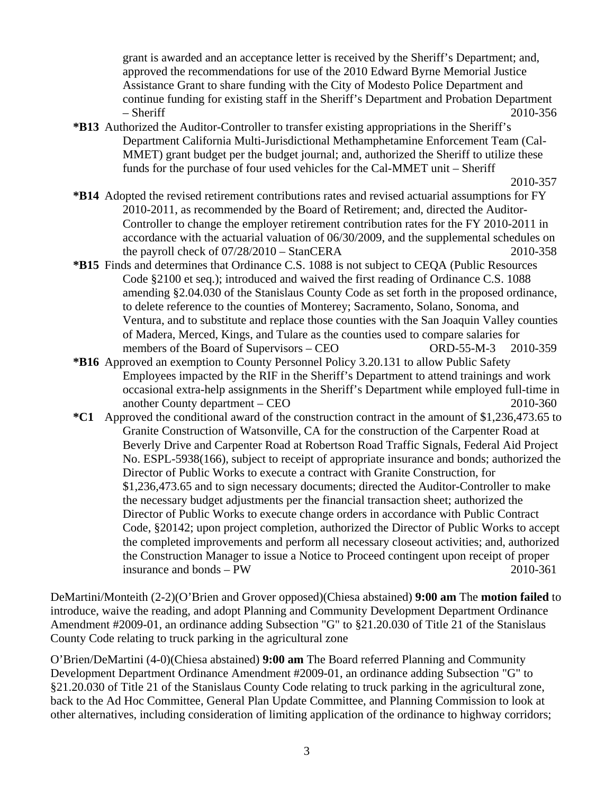grant is awarded and an acceptance letter is received by the Sheriff's Department; and, approved the recommendations for use of the 2010 Edward Byrne Memorial Justice Assistance Grant to share funding with the City of Modesto Police Department and continue funding for existing staff in the Sheriff's Department and Probation Department – Sheriff 2010-356

**\*B13** Authorized the Auditor-Controller to transfer existing appropriations in the Sheriff's Department California Multi-Jurisdictional Methamphetamine Enforcement Team (Cal-MMET) grant budget per the budget journal; and, authorized the Sheriff to utilize these funds for the purchase of four used vehicles for the Cal-MMET unit – Sheriff

2010-357

- **\*B14** Adopted the revised retirement contributions rates and revised actuarial assumptions for FY 2010-2011, as recommended by the Board of Retirement; and, directed the Auditor-Controller to change the employer retirement contribution rates for the FY 2010-2011 in accordance with the actuarial valuation of 06/30/2009, and the supplemental schedules on the payroll check of 07/28/2010 – StanCERA 2010-358
- **\*B15** Finds and determines that Ordinance C.S. 1088 is not subject to CEQA (Public Resources Code §2100 et seq.); introduced and waived the first reading of Ordinance C.S. 1088 amending §2.04.030 of the Stanislaus County Code as set forth in the proposed ordinance, to delete reference to the counties of Monterey; Sacramento, Solano, Sonoma, and Ventura, and to substitute and replace those counties with the San Joaquin Valley counties of Madera, Merced, Kings, and Tulare as the counties used to compare salaries for members of the Board of Supervisors – CEO ORD-55-M-3 2010-359
- **\*B16** Approved an exemption to County Personnel Policy 3.20.131 to allow Public Safety Employees impacted by the RIF in the Sheriff's Department to attend trainings and work occasional extra-help assignments in the Sheriff's Department while employed full-time in another County department – CEO 2010-360
- **\*C1** Approved the conditional award of the construction contract in the amount of \$1,236,473.65 to Granite Construction of Watsonville, CA for the construction of the Carpenter Road at Beverly Drive and Carpenter Road at Robertson Road Traffic Signals, Federal Aid Project No. ESPL-5938(166), subject to receipt of appropriate insurance and bonds; authorized the Director of Public Works to execute a contract with Granite Construction, for \$1,236,473.65 and to sign necessary documents; directed the Auditor-Controller to make the necessary budget adjustments per the financial transaction sheet; authorized the Director of Public Works to execute change orders in accordance with Public Contract Code, §20142; upon project completion, authorized the Director of Public Works to accept the completed improvements and perform all necessary closeout activities; and, authorized the Construction Manager to issue a Notice to Proceed contingent upon receipt of proper insurance and bonds – PW 2010-361

DeMartini/Monteith (2-2)(O'Brien and Grover opposed)(Chiesa abstained) **9:00 am** The **motion failed** to introduce, waive the reading, and adopt Planning and Community Development Department Ordinance Amendment #2009-01, an ordinance adding Subsection "G" to §21.20.030 of Title 21 of the Stanislaus County Code relating to truck parking in the agricultural zone

O'Brien/DeMartini (4-0)(Chiesa abstained) **9:00 am** The Board referred Planning and Community Development Department Ordinance Amendment #2009-01, an ordinance adding Subsection "G" to §21.20.030 of Title 21 of the Stanislaus County Code relating to truck parking in the agricultural zone, back to the Ad Hoc Committee, General Plan Update Committee, and Planning Commission to look at other alternatives, including consideration of limiting application of the ordinance to highway corridors;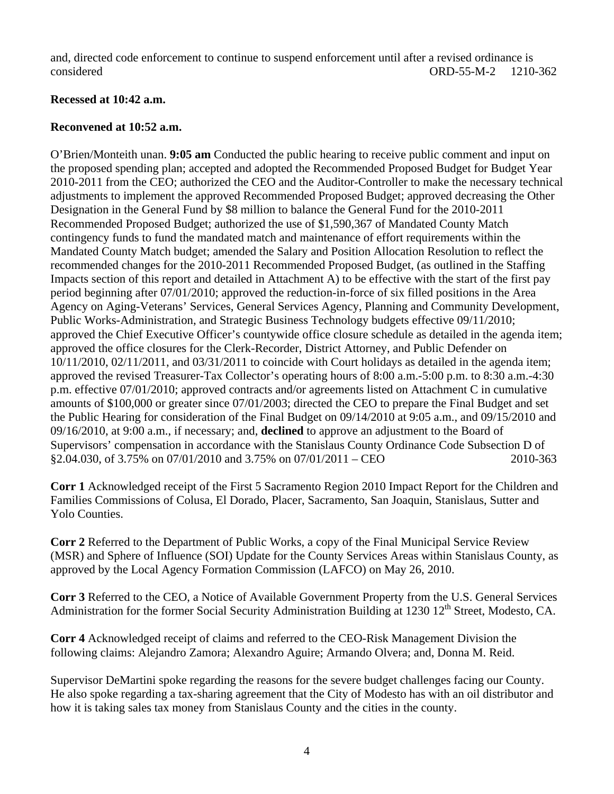and, directed code enforcement to continue to suspend enforcement until after a revised ordinance is considered ORD-55-M-2 1210-362

## **Recessed at 10:42 a.m.**

## **Reconvened at 10:52 a.m.**

O'Brien/Monteith unan. **9:05 am** Conducted the public hearing to receive public comment and input on the proposed spending plan; accepted and adopted the Recommended Proposed Budget for Budget Year 2010-2011 from the CEO; authorized the CEO and the Auditor-Controller to make the necessary technical adjustments to implement the approved Recommended Proposed Budget; approved decreasing the Other Designation in the General Fund by \$8 million to balance the General Fund for the 2010-2011 Recommended Proposed Budget; authorized the use of \$1,590,367 of Mandated County Match contingency funds to fund the mandated match and maintenance of effort requirements within the Mandated County Match budget; amended the Salary and Position Allocation Resolution to reflect the recommended changes for the 2010-2011 Recommended Proposed Budget, (as outlined in the Staffing Impacts section of this report and detailed in Attachment A) to be effective with the start of the first pay period beginning after 07/01/2010; approved the reduction-in-force of six filled positions in the Area Agency on Aging-Veterans' Services, General Services Agency, Planning and Community Development, Public Works-Administration, and Strategic Business Technology budgets effective 09/11/2010; approved the Chief Executive Officer's countywide office closure schedule as detailed in the agenda item; approved the office closures for the Clerk-Recorder, District Attorney, and Public Defender on 10/11/2010, 02/11/2011, and 03/31/2011 to coincide with Court holidays as detailed in the agenda item; approved the revised Treasurer-Tax Collector's operating hours of 8:00 a.m.-5:00 p.m. to 8:30 a.m.-4:30 p.m. effective 07/01/2010; approved contracts and/or agreements listed on Attachment C in cumulative amounts of \$100,000 or greater since 07/01/2003; directed the CEO to prepare the Final Budget and set the Public Hearing for consideration of the Final Budget on 09/14/2010 at 9:05 a.m., and 09/15/2010 and 09/16/2010, at 9:00 a.m., if necessary; and, **declined** to approve an adjustment to the Board of Supervisors' compensation in accordance with the Stanislaus County Ordinance Code Subsection D of  $$2.04.030, of 3.75\% on 07/01/2010 and 3.75\% on 07/01/2011 - CEO$  2010-363

**Corr 1** Acknowledged receipt of the First 5 Sacramento Region 2010 Impact Report for the Children and Families Commissions of Colusa, El Dorado, Placer, Sacramento, San Joaquin, Stanislaus, Sutter and Yolo Counties.

**Corr 2** Referred to the Department of Public Works, a copy of the Final Municipal Service Review (MSR) and Sphere of Influence (SOI) Update for the County Services Areas within Stanislaus County, as approved by the Local Agency Formation Commission (LAFCO) on May 26, 2010.

**Corr 3** Referred to the CEO, a Notice of Available Government Property from the U.S. General Services Administration for the former Social Security Administration Building at 1230  $12^{th}$  Street, Modesto, CA.

**Corr 4** Acknowledged receipt of claims and referred to the CEO-Risk Management Division the following claims: Alejandro Zamora; Alexandro Aguire; Armando Olvera; and, Donna M. Reid.

Supervisor DeMartini spoke regarding the reasons for the severe budget challenges facing our County. He also spoke regarding a tax-sharing agreement that the City of Modesto has with an oil distributor and how it is taking sales tax money from Stanislaus County and the cities in the county.